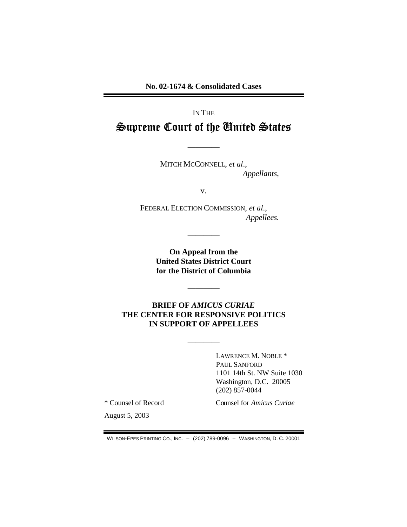**No. 02-1674 & Consolidated Cases** 

## IN THE

# Supreme Court of the Cnited States

————

MITCH MCCONNELL, *et al*., *Appellants*,

v.

FEDERAL ELECTION COMMISSION, *et al*., *Appellees.* 

> **On Appeal from the United States District Court for the District of Columbia**

> > ————

————

## **BRIEF OF** *AMICUS CURIAE*  **THE CENTER FOR RESPONSIVE POLITICS IN SUPPORT OF APPELLEES**

————

LAWRENCE M. NOBLE \* PAUL SANFORD 1101 14th St. NW Suite 1030 Washington, D.C. 20005 (202) 857-0044

\* Counsel of Record Counsel for *Amicus Curiae* 

August 5, 2003

WILSON-EPES PRINTING CO., INC. – (202) 789-0096 – WASHINGTON, D. C. 20001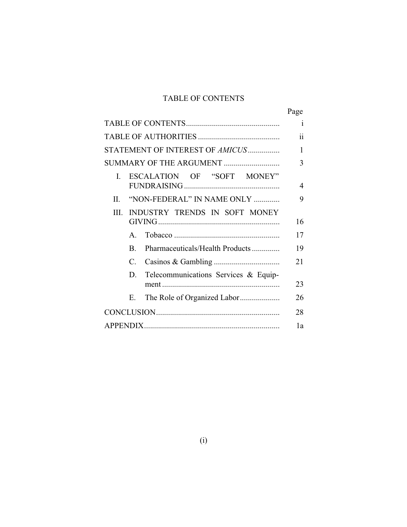## TABLE OF CONTENTS

|                                            | Page         |
|--------------------------------------------|--------------|
|                                            | $\mathbf{1}$ |
|                                            | 11           |
| STATEMENT OF INTEREST OF AMICUS            | 1            |
| SUMMARY OF THE ARGUMENT                    | 3            |
| ESCALATION OF "SOFT MONEY"<br>L            | 4            |
| "NON-FEDERAL" IN NAME ONLY<br>$\mathbf{H}$ | 9            |
| III. INDUSTRY TRENDS IN SOFT MONEY         |              |
|                                            | 16           |
| $\mathsf{A}$                               | 17           |
| Pharmaceuticals/Health Products<br>B.      | 19           |
| C.                                         | 21           |
| Telecommunications Services & Equip-<br>D. | 23           |
| Е.                                         | 26           |
|                                            | 28           |
|                                            | 1a           |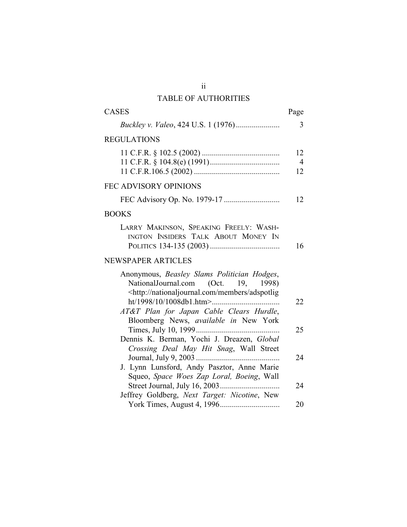## TABLE OF AUTHORITIES

| <b>CASES</b>                                                                                                                                                                 | Page                       |
|------------------------------------------------------------------------------------------------------------------------------------------------------------------------------|----------------------------|
|                                                                                                                                                                              | 3                          |
| <b>REGULATIONS</b>                                                                                                                                                           |                            |
|                                                                                                                                                                              | 12<br>$\overline{4}$<br>12 |
| <b>FEC ADVISORY OPINIONS</b>                                                                                                                                                 |                            |
|                                                                                                                                                                              | 12                         |
| <b>BOOKS</b>                                                                                                                                                                 |                            |
| LARRY MAKINSON, SPEAKING FREELY: WASH-<br>INGTON INSIDERS TALK ABOUT MONEY IN                                                                                                | 16                         |
| <b>NEWSPAPER ARTICLES</b>                                                                                                                                                    |                            |
| Anonymous, Beasley Slams Politician Hodges,<br>NationalJournal.com (Oct.<br>19,<br>1998)<br><http: adspotlig<="" members="" nationaljournal.com="" td=""><td>22</td></http:> | 22                         |
| AT&T Plan for Japan Cable Clears Hurdle,<br>Bloomberg News, available in New York                                                                                            |                            |
| Dennis K. Berman, Yochi J. Dreazen, Global                                                                                                                                   | 25                         |
| Crossing Deal May Hit Snag, Wall Street                                                                                                                                      | 24                         |
| J. Lynn Lunsford, Andy Pasztor, Anne Marie<br>Squeo, Space Woes Zap Loral, Boeing, Wall                                                                                      | 24                         |
| Jeffrey Goldberg, Next Target: Nicotine, New                                                                                                                                 | 20                         |

 $\ddot{\rm ii}$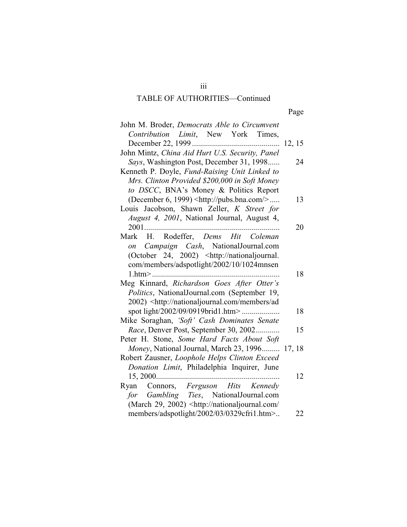# TABLE OF AUTHORITIES-Continued

| I |  |
|---|--|
|---|--|

| John M. Broder, Democrats Able to Circumvent                                                                          |    |
|-----------------------------------------------------------------------------------------------------------------------|----|
| Contribution Limit, New York Times,                                                                                   |    |
|                                                                                                                       |    |
| John Mintz, China Aid Hurt U.S. Security, Panel                                                                       |    |
| Says, Washington Post, December 31, 1998                                                                              | 24 |
| Kenneth P. Doyle, Fund-Raising Unit Linked to                                                                         |    |
| Mrs. Clinton Provided \$200,000 in Soft Money                                                                         |    |
| to DSCC, BNA's Money & Politics Report                                                                                |    |
| (December 6, 1999) <http: pubs.bna.com=""></http:>                                                                    | 13 |
| Louis Jacobson, Shawn Zeller, K Street for                                                                            |    |
| August 4, 2001, National Journal, August 4,                                                                           |    |
| 2001                                                                                                                  | 20 |
| Mark H. Rodeffer, Dems Hit Coleman                                                                                    |    |
| on Campaign Cash, NationalJournal.com                                                                                 |    |
| (October 24, 2002) <http: nationaljournal.<="" td=""><td></td></http:>                                                |    |
| com/members/adspotlight/2002/10/1024mnsen                                                                             |    |
|                                                                                                                       | 18 |
| Meg Kinnard, Richardson Goes After Otter's                                                                            |    |
| Politics, NationalJournal.com (September 19,                                                                          |    |
| 2002) <http: ad<="" members="" nationaljournal.com="" td=""><td></td></http:>                                         |    |
| spot light/2002/09/0919brid1.htm>                                                                                     | 18 |
| Mike Soraghan, 'Soft' Cash Dominates Senate                                                                           |    |
| Race, Denver Post, September 30, 2002                                                                                 | 15 |
| Peter H. Stone, Some Hard Facts About Soft                                                                            |    |
| Money, National Journal, March 23, 1996 17, 18                                                                        |    |
| Robert Zausner, Loophole Helps Clinton Exceed                                                                         |    |
| Donation Limit, Philadelphia Inquirer, June                                                                           |    |
|                                                                                                                       | 12 |
| Ryan Connors, Ferguson Hits Kennedy                                                                                   |    |
| for Gambling Ties, NationalJournal.com<br>(March 29, 2002) <http: <="" nationaljournal.com="" td=""><td></td></http:> |    |
| members/adspotlight/2002/03/0329cfri1.htm>                                                                            | 22 |
|                                                                                                                       |    |

 $iii$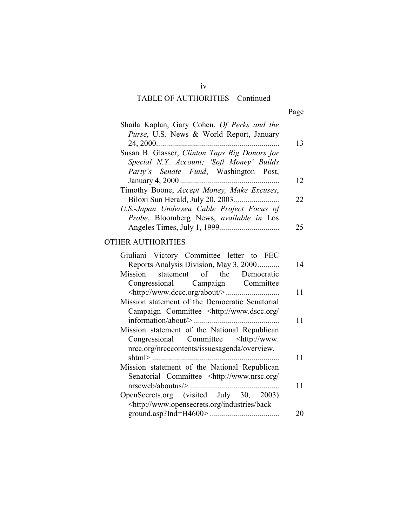# $iv$ TABLE OF AUTHORITIES-Continued

| Shaila Kaplan, Gary Cohen, Of Perks and the                |    |
|------------------------------------------------------------|----|
| Purse, U.S. News & World Report, January                   |    |
|                                                            | 13 |
| Susan B. Glasser, Clinton Taps Big Donors for              |    |
| Special N.Y. Account; 'Soft Money' Builds                  |    |
| <i>Party's Senate Fund</i> , Washington Post,              |    |
|                                                            | 12 |
| Timothy Boone, <i>Accept Money</i> , <i>Make Excuses</i> , |    |
|                                                            | 22 |
| U.S.-Japan Undersea Cable Project Focus of                 |    |
| Probe, Bloomberg News, available in Los                    |    |
|                                                            | 25 |

## **OTHER AUTHORITIES**

| Giuliani Victory Committee letter to FEC                                     |    |
|------------------------------------------------------------------------------|----|
| Reports Analysis Division, May 3, 2000                                       | 14 |
| Mission statement of the Democratic                                          |    |
| Congressional Campaign Committee                                             |    |
|                                                                              | 11 |
| Mission statement of the Democratic Senatorial                               |    |
| Campaign Committee <http: <="" td="" www.dscc.org=""><td></td></http:>       |    |
|                                                                              | 11 |
| Mission statement of the National Republican                                 |    |
| Congressional Committee <http: td="" www.<=""><td></td></http:>              |    |
| nrcc.org/nrcccontents/issuesagenda/overview.                                 |    |
|                                                                              | 11 |
| Mission statement of the National Republican                                 |    |
| Senatorial Committee <http: <="" td="" www.nrsc.org=""><td></td></http:>     |    |
|                                                                              | 11 |
| OpenSecrets.org (visited July 30, 2003)                                      |    |
| <http: back<="" industries="" td="" www.opensecrets.org=""><td></td></http:> |    |
|                                                                              | 20 |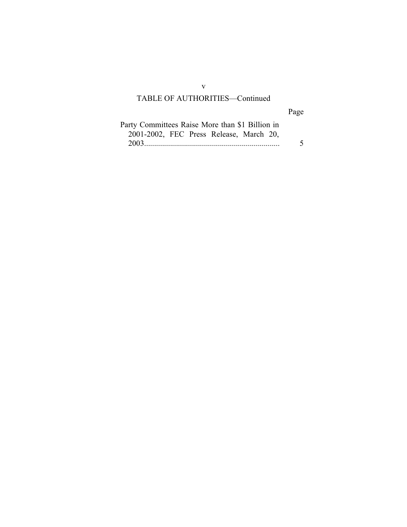## TABLE OF AUTHORITIES-Continued

# Page

| Party Committees Raise More than \$1 Billion in |   |
|-------------------------------------------------|---|
| 2001-2002, FEC Press Release, March 20,         |   |
|                                                 | 5 |

 $\mathbf{V}$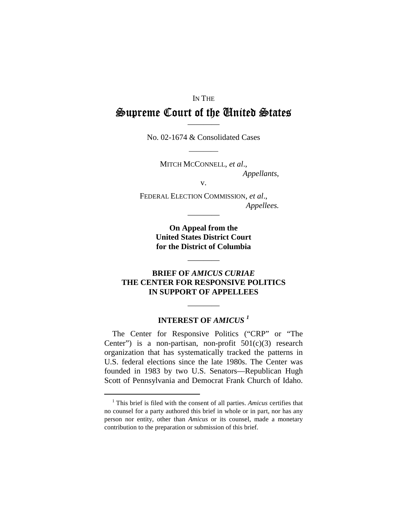### IN THE

# - -  ————

No. 02-1674 & Consolidated Cases

————

MITCH MCCONNELL, *et al*., *Appellants*, v.

FEDERAL ELECTION COMMISSION, *et al*.,

*Appellees.* 

**On Appeal from the United States District Court for the District of Columbia** 

————

————

## **BRIEF OF** *AMICUS CURIAE*  **THE CENTER FOR RESPONSIVE POLITICS IN SUPPORT OF APPELLEES**

## **INTEREST OF** *AMICUS <sup>1</sup>*

————

The Center for Responsive Politics ("CRP" or "The Center") is a non-partisan, non-profit  $501(c)(3)$  research organization that has systematically tracked the patterns in U.S. federal elections since the late 1980s. The Center was founded in 1983 by two U.S. Senators—Republican Hugh Scott of Pennsylvania and Democrat Frank Church of Idaho.

<sup>1</sup> This brief is filed with the consent of all parties. *Amicus* certifies that no counsel for a party authored this brief in whole or in part, nor has any person nor entity, other than *Amicus* or its counsel, made a monetary contribution to the preparation or submission of this brief.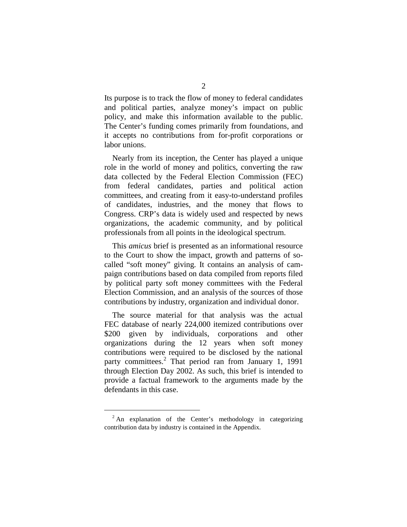Its purpose is to track the flow of money to federal candidates and political parties, analyze money's impact on public policy, and make this information available to the public. The Center's funding comes primarily from foundations, and it accepts no contributions from for-profit corporations or labor unions.

Nearly from its inception, the Center has played a unique role in the world of money and politics, converting the raw data collected by the Federal Election Commission (FEC) from federal candidates, parties and political action committees, and creating from it easy-to-understand profiles of candidates, industries, and the money that flows to Congress. CRP's data is widely used and respected by news organizations, the academic community, and by political professionals from all points in the ideological spectrum.

This *amicus* brief is presented as an informational resource to the Court to show the impact, growth and patterns of socalled "soft money" giving. It contains an analysis of campaign contributions based on data compiled from reports filed by political party soft money committees with the Federal Election Commission, and an analysis of the sources of those contributions by industry, organization and individual donor.

The source material for that analysis was the actual FEC database of nearly 224,000 itemized contributions over \$200 given by individuals, corporations and other organizations during the 12 years when soft money contributions were required to be disclosed by the national party committees. 2 That period ran from January 1, 1991 through Election Day 2002. As such, this brief is intended to provide a factual framework to the arguments made by the defendants in this case.

 $2$  An explanation of the Center's methodology in categorizing contribution data by industry is contained in the Appendix.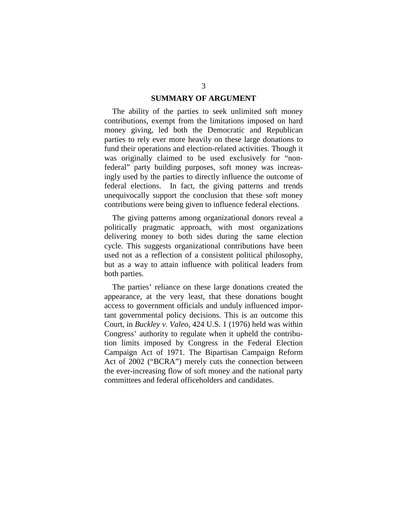### **SUMMARY OF ARGUMENT**

The ability of the parties to seek unlimited soft money contributions, exempt from the limitations imposed on hard money giving, led both the Democratic and Republican parties to rely ever more heavily on these large donations to fund their operations and election-related activities. Though it was originally claimed to be used exclusively for "nonfederal" party building purposes, soft money was increasingly used by the parties to directly influence the outcome of federal elections. In fact, the giving patterns and trends unequivocally support the conclusion that these soft money contributions were being given to influence federal elections.

The giving patterns among organizational donors reveal a politically pragmatic approach, with most organizations delivering money to both sides during the same election cycle. This suggests organizational contributions have been used not as a reflection of a consistent political philosophy, but as a way to attain influence with political leaders from both parties.

The parties' reliance on these large donations created the appearance, at the very least, that these donations bought access to government officials and unduly influenced important governmental policy decisions. This is an outcome this Court, in *Buckley v. Valeo*, 424 U.S. 1 (1976) held was within Congress' authority to regulate when it upheld the contribution limits imposed by Congress in the Federal Election Campaign Act of 1971. The Bipartisan Campaign Reform Act of 2002 ("BCRA") merely cuts the connection between the ever-increasing flow of soft money and the national party committees and federal officeholders and candidates.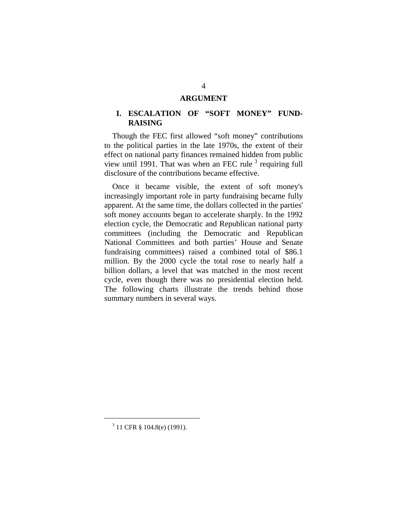#### **ARGUMENT**

## **I. ESCALATION OF "SOFT MONEY" FUND-RAISING**

Though the FEC first allowed "soft money" contributions to the political parties in the late 1970s, the extent of their effect on national party finances remained hidden from public view until 1991. That was when an FEC rule  $3$  requiring full disclosure of the contributions became effective.

Once it became visible, the extent of soft money's increasingly important role in party fundraising became fully apparent. At the same time, the dollars collected in the parties' soft money accounts began to accelerate sharply. In the 1992 election cycle, the Democratic and Republican national party committees (including the Democratic and Republican National Committees and both parties' House and Senate fundraising committees) raised a combined total of \$86.1 million. By the 2000 cycle the total rose to nearly half a billion dollars, a level that was matched in the most recent cycle, even though there was no presidential election held. The following charts illustrate the trends behind those summary numbers in several ways.

<sup>3</sup> 11 CFR § 104.8(e) (1991).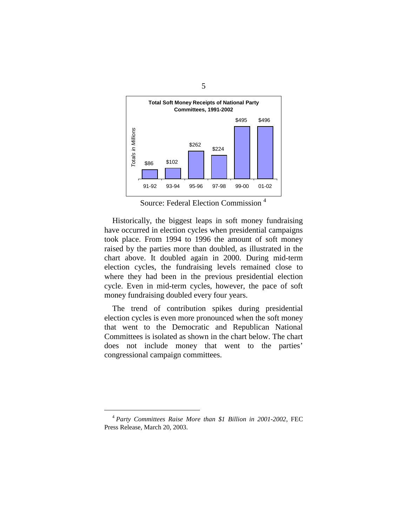

Source: Federal Election Commission 4

Historically, the biggest leaps in soft money fundraising have occurred in election cycles when presidential campaigns took place. From 1994 to 1996 the amount of soft money raised by the parties more than doubled, as illustrated in the chart above. It doubled again in 2000. During mid-term election cycles, the fundraising levels remained close to where they had been in the previous presidential election cycle. Even in mid-term cycles, however, the pace of soft money fundraising doubled every four years.

The trend of contribution spikes during presidential election cycles is even more pronounced when the soft money that went to the Democratic and Republican National Committees is isolated as shown in the chart below. The chart does not include money that went to the parties' congressional campaign committees.

<sup>4</sup>*Party Committees Raise More than \$1 Billion in 2001-2002*, FEC Press Release, March 20, 2003.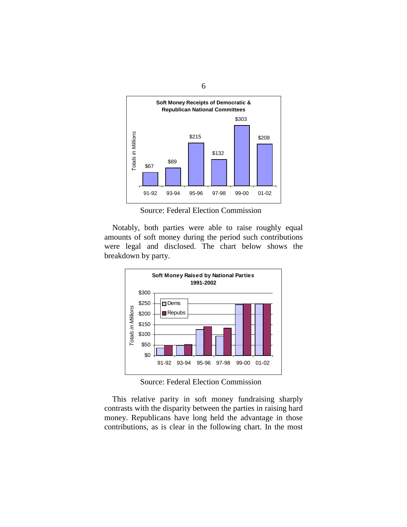

Source: Federal Election Commission

Notably, both parties were able to raise roughly equal amounts of soft money during the period such contributions were legal and disclosed. The chart below shows the breakdown by party.



Source: Federal Election Commission

This relative parity in soft money fundraising sharply contrasts with the disparity between the parties in raising hard money. Republicans have long held the advantage in those contributions, as is clear in the following chart. In the most

6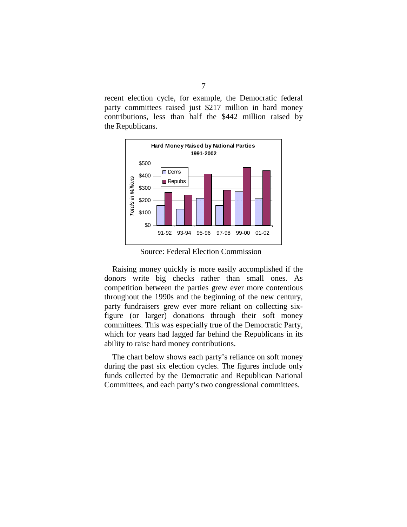recent election cycle, for example, the Democratic federal party committees raised just \$217 million in hard money contributions, less than half the \$442 million raised by the Republicans.



Source: Federal Election Commission

Raising money quickly is more easily accomplished if the donors write big checks rather than small ones. As competition between the parties grew ever more contentious throughout the 1990s and the beginning of the new century, party fundraisers grew ever more reliant on collecting sixfigure (or larger) donations through their soft money committees. This was especially true of the Democratic Party, which for years had lagged far behind the Republicans in its ability to raise hard money contributions.

The chart below shows each party's reliance on soft money during the past six election cycles. The figures include only funds collected by the Democratic and Republican National Committees, and each party's two congressional committees.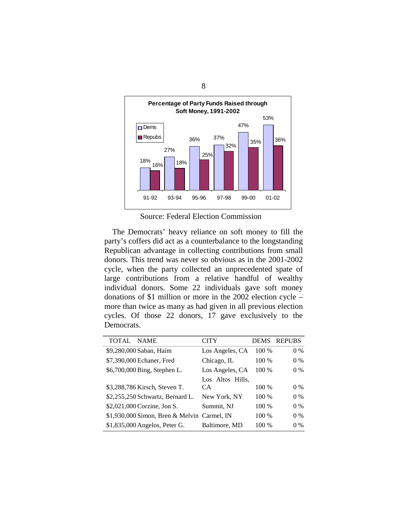

Source: Federal Election Commission

The Democrats' heavy reliance on soft money to fill the party's coffers did act as a counterbalance to the longstanding Republican advantage in collecting contributions from small donors. This trend was never so obvious as in the 2001-2002 cycle, when the party collected an unprecedented spate of large contributions from a relative handful of wealthy individual donors. Some 22 individuals gave soft money donations of \$1 million or more in the 2002 election cycle – more than twice as many as had given in all previous election cycles. Of those 22 donors, 17 gave exclusively to the Democrats.

| TOTAL NAME |                                             | CITY             | <b>DEMS</b> | <b>REPUBS</b> |
|------------|---------------------------------------------|------------------|-------------|---------------|
|            | \$9,280,000 Saban, Haim                     | Los Angeles, CA  | 100 %       | $0\%$         |
|            | \$7,390,000 Echaner, Fred                   | Chicago, IL      | 100 %       | $0\%$         |
|            | \$6,700,000 Bing, Stephen L.                | Los Angeles, CA  | $100\%$     | $0\%$         |
|            |                                             | Los Altos Hills, |             |               |
|            | \$3,288,786 Kirsch, Steven T.               | CA.              | 100 %       | $0\%$         |
|            | \$2,255,250 Schwartz, Bernard L.            | New York, NY     | 100 %       | $0\%$         |
|            | \$2,021,000 Corzine, Jon S.                 | Summit, NJ       | 100 %       | $0\%$         |
|            | \$1,930,000 Simon, Bren & Melvin Carmel, IN |                  | 100 %       | $0\%$         |
|            | \$1,835,000 Angelos, Peter G.               | Baltimore, MD    | 100 %       | $0\%$         |

8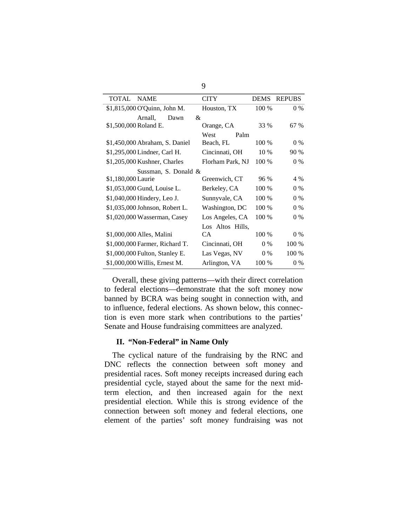| <b>CITY</b>     |                           | <b>DEMS REPUBS</b>                           |
|-----------------|---------------------------|----------------------------------------------|
| Houston, TX     | 100 %                     | $0\%$                                        |
|                 |                           |                                              |
| Orange, CA      | 33 %                      | 67 %                                         |
| West            |                           |                                              |
| Beach, FL       | 100 %                     | 0 %                                          |
| Cincinnati, OH  | 10 %                      | 90 %                                         |
|                 | 100 %                     | 0 %                                          |
|                 |                           |                                              |
| Greenwich, CT   | 96 %                      | 4 %                                          |
| Berkeley, CA    | 100 %                     | 0 %                                          |
| Sunnyvale, CA   | 100 %                     | $0\%$                                        |
| Washington, DC  | 100 %                     | $0\%$                                        |
| Los Angeles, CA | 100 %                     | 0 %                                          |
|                 |                           |                                              |
| CA.             | 100 %                     | 0 %                                          |
| Cincinnati, OH  | $0\%$                     | 100 %                                        |
| Las Vegas, NV   | $0\%$                     | 100 %                                        |
| Arlington, VA   | 100 %                     | 0 %                                          |
|                 | &<br>Sussman, S. Donald & | Palm<br>Florham Park, NJ<br>Los Altos Hills, |

Overall, these giving patterns—with their direct correlation to federal elections—demonstrate that the soft money now banned by BCRA was being sought in connection with, and to influence, federal elections. As shown below, this connection is even more stark when contributions to the parties' Senate and House fundraising committees are analyzed.

## **II. "Non-Federal" in Name Only**

The cyclical nature of the fundraising by the RNC and DNC reflects the connection between soft money and presidential races. Soft money receipts increased during each presidential cycle, stayed about the same for the next midterm election, and then increased again for the next presidential election. While this is strong evidence of the connection between soft money and federal elections, one element of the parties' soft money fundraising was not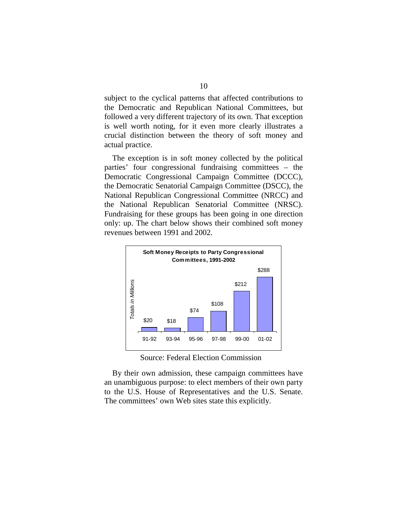subject to the cyclical patterns that affected contributions to the Democratic and Republican National Committees, but followed a very different trajectory of its own. That exception is well worth noting, for it even more clearly illustrates a crucial distinction between the theory of soft money and actual practice.

The exception is in soft money collected by the political parties' four congressional fundraising committees – the Democratic Congressional Campaign Committee (DCCC), the Democratic Senatorial Campaign Committee (DSCC), the National Republican Congressional Committee (NRCC) and the National Republican Senatorial Committee (NRSC). Fundraising for these groups has been going in one direction only: up. The chart below shows their combined soft money revenues between 1991 and 2002.



Source: Federal Election Commission

By their own admission, these campaign committees have an unambiguous purpose: to elect members of their own party to the U.S. House of Representatives and the U.S. Senate. The committees' own Web sites state this explicitly.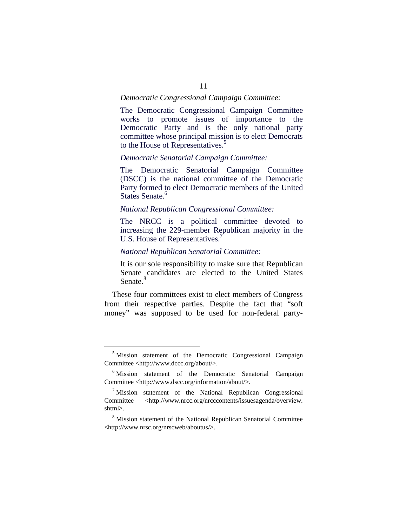#### *Democratic Congressional Campaign Committee:*

The Democratic Congressional Campaign Committee works to promote issues of importance to the Democratic Party and is the only national party committee whose principal mission is to elect Democrats to the House of Representatives.<sup>5</sup>

## *Democratic Senatorial Campaign Committee:*

The Democratic Senatorial Campaign Committee (DSCC) is the national committee of the Democratic Party formed to elect Democratic members of the United States Senate.<sup>6</sup>

### *National Republican Congressional Committee:*

The NRCC is a political committee devoted to increasing the 229-member Republican majority in the U.S. House of Representatives.<sup>7</sup>

### *National Republican Senatorial Committee:*

It is our sole responsibility to make sure that Republican Senate candidates are elected to the United States Senate.<sup>8</sup>

These four committees exist to elect members of Congress from their respective parties. Despite the fact that "soft money" was supposed to be used for non-federal party-

<sup>&</sup>lt;sup>5</sup> Mission statement of the Democratic Congressional Campaign Committee <http://www.dccc.org/about/>.

<sup>&</sup>lt;sup>6</sup> Mission statement of the Democratic Senatorial Campaign Committee <http://www.dscc.org/information/about/>.

 $<sup>7</sup>$  Mission statement of the National Republican Congressional</sup> Committee <http://www.nrcc.org/nrcccontents/issuesagenda/overview. shtml>.

<sup>&</sup>lt;sup>8</sup> Mission statement of the National Republican Senatorial Committee <http://www.nrsc.org/nrscweb/aboutus/>.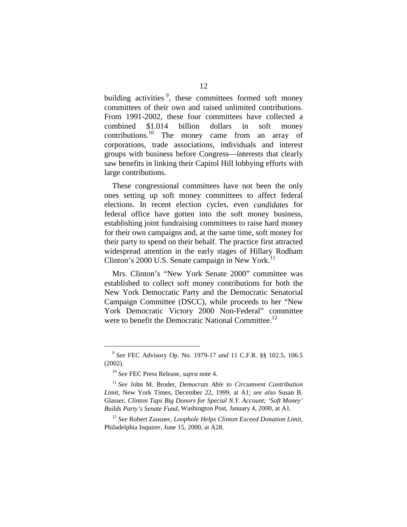building activities<sup>9</sup>, these committees formed soft money committees of their own and raised unlimited contributions. From 1991-2002, these four committees have collected a combined \$1.014 billion dollars in soft money contributions.<sup>10</sup> The money came from an array of corporations, trade associations, individuals and interest groups with business before Congress—interests that clearly saw benefits in linking their Capitol Hill lobbying efforts with large contributions.

These congressional committees have not been the only ones setting up soft money committees to affect federal elections. In recent election cycles, even *candidates* for federal office have gotten into the soft money business, establishing joint fundraising committees to raise hard money for their own campaigns and, at the same time, soft money for their party to spend on their behalf. The practice first attracted widespread attention in the early stages of Hillary Rodham Clinton's 2000 U.S. Senate campaign in New York.<sup>11</sup>

Mrs. Clinton's "New York Senate 2000" committee was established to collect soft money contributions for both the New York Democratic Party and the Democratic Senatorial Campaign Committee (DSCC), while proceeds to her "New York Democratic Victory 2000 Non-Federal" committee were to benefit the Democratic National Committee.<sup>12</sup>

<sup>9</sup>*See* FEC Advisory Op. No. 1979-17 *and* 11 C.F.R. §§ 102.5, 106.5 (2002).

<sup>10</sup>*See* FEC Press Release, *supra* note 4.

<sup>11</sup> *See* John M. Broder, *Democrats Able to Circumvent Contribution Limit*, New York Times, December 22, 1999, at A1; *see also* Susan B. Glasser, *Clinton Taps Big Donors for Special N.Y. Account; 'Soft Money' Builds Party's Senate Fund*, Washington Post, January 4, 2000, at A1.

<sup>12</sup>*See* Robert Zausner, *Loophole Helps Clinton Exceed Donation Limit*, Philadelphia Inquirer, June 15, 2000, at A28.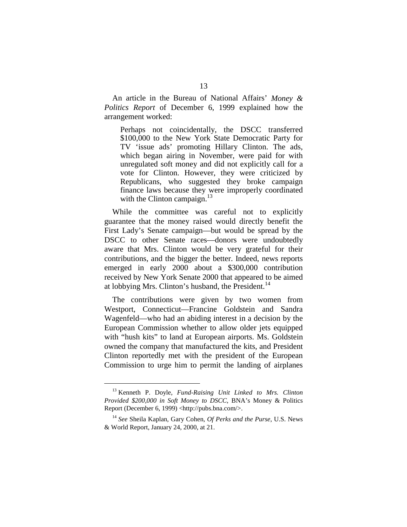An article in the Bureau of National Affairs' *Money & Politics Report* of December 6, 1999 explained how the arrangement worked:

Perhaps not coincidentally, the DSCC transferred \$100,000 to the New York State Democratic Party for TV 'issue ads' promoting Hillary Clinton. The ads, which began airing in November, were paid for with unregulated soft money and did not explicitly call for a vote for Clinton. However, they were criticized by Republicans, who suggested they broke campaign finance laws because they were improperly coordinated with the Clinton campaign. $13$ 

While the committee was careful not to explicitly guarantee that the money raised would directly benefit the First Lady's Senate campaign—but would be spread by the DSCC to other Senate races—donors were undoubtedly aware that Mrs. Clinton would be very grateful for their contributions, and the bigger the better. Indeed, news reports emerged in early 2000 about a \$300,000 contribution received by New York Senate 2000 that appeared to be aimed at lobbying Mrs. Clinton's husband, the President.<sup>14</sup>

The contributions were given by two women from Westport, Connecticut—Francine Goldstein and Sandra Wagenfeld—who had an abiding interest in a decision by the European Commission whether to allow older jets equipped with "hush kits" to land at European airports. Ms. Goldstein owned the company that manufactured the kits, and President Clinton reportedly met with the president of the European Commission to urge him to permit the landing of airplanes

<sup>13</sup> Kenneth P. Doyle, *Fund-Raising Unit Linked to Mrs. Clinton Provided \$200,000 in Soft Money to DSCC*, BNA's Money & Politics Report (December 6, 1999) <http://pubs.bna.com/>.

<sup>14</sup>*See* Sheila Kaplan, Gary Cohen, *Of Perks and the Purse*, U.S. News & World Report, January 24, 2000, at 21.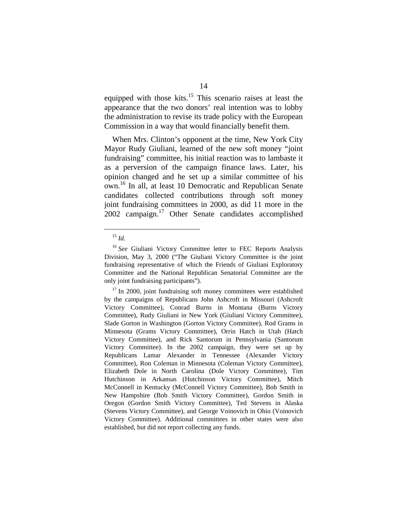equipped with those kits.<sup>15</sup> This scenario raises at least the appearance that the two donors' real intention was to lobby the administration to revise its trade policy with the European Commission in a way that would financially benefit them.

When Mrs. Clinton's opponent at the time, New York City Mayor Rudy Giuliani, learned of the new soft money "joint fundraising" committee, his initial reaction was to lambaste it as a perversion of the campaign finance laws. Later, his opinion changed and he set up a similar committee of his own.16 In all, at least 10 Democratic and Republican Senate candidates collected contributions through soft money joint fundraising committees in 2000, as did 11 more in the  $2002$  campaign.<sup>17</sup> Other Senate candidates accomplished

<sup>15</sup>*Id.* 

<sup>&</sup>lt;sup>16</sup> See Giuliani Victory Committee letter to FEC Reports Analysis Division, May 3, 2000 ("The Giuliani Victory Committee is the joint fundraising representative of which the Friends of Giuliani Exploratory Committee and the National Republican Senatorial Committee are the only joint fundraising participants").

 $17$  In 2000, joint fundraising soft money committees were established by the campaigns of Republicans John Ashcroft in Missouri (Ashcroft Victory Committee), Conrad Burns in Montana (Burns Victory Committee), Rudy Giuliani in New York (Giuliani Victory Committee), Slade Gorton in Washington (Gorton Victory Committee), Rod Grams in Minnesota (Grams Victory Committee), Orrin Hatch in Utah (Hatch Victory Committee), and Rick Santorum in Pennsylvania (Santorum Victory Committee). In the 2002 campaign, they were set up by Republicans Lamar Alexander in Tennessee (Alexander Victory Committee), Ron Coleman in Minnesota (Coleman Victory Committee), Elizabeth Dole in North Carolina (Dole Victory Committee), Tim Hutchinson in Arkansas (Hutchinson Victory Committee), Mitch McConnell in Kentucky (McConnell Victory Committee), Bob Smith in New Hampshire (Bob Smith Victory Committee), Gordon Smith in Oregon (Gordon Smith Victory Committee), Ted Stevens in Alaska (Stevens Victory Committee), and George Voinovich in Ohio (Voinovich Victory Committee). Additional committees in other states were also established, but did not report collecting any funds.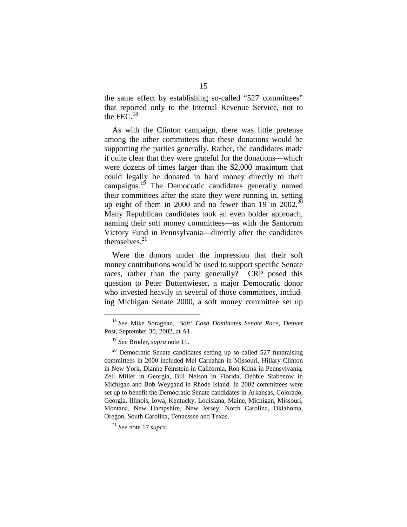the same effect by establishing so-called "527 committees" that reported only to the Internal Revenue Service, not to the FEC. $^{18}$ 

As with the Clinton campaign, there was little pretense among the other committees that these donations would be supporting the parties generally. Rather, the candidates made it quite clear that they were grateful for the donations—which were dozens of times larger than the \$2,000 maximum that could legally be donated in hard money directly to their campaigns. $19$  The Democratic candidates generally named their committees after the state they were running in, setting up eight of them in 2000 and no fewer than 19 in 2002.<sup>20</sup> Many Republican candidates took an even bolder approach, naming their soft money committees—as with the Santorum Victory Fund in Pennsylvania—directly after the candidates themselves. 21

Were the donors under the impression that their soft money contributions would be used to support specific Senate races, rather than the party generally? CRP posed this question to Peter Buttenwieser, a major Democratic donor who invested heavily in several of those committees, including Michigan Senate 2000, a soft money committee set up

<sup>18</sup>*See* Mike Soraghan, *'Soft' Cash Dominates Senate Race*, Denver Post, September 30, 2002, at A1.

<sup>19</sup>*See* Broder, *supra* note 11.

 $20$  Democratic Senate candidates setting up so-called 527 fundraising committees in 2000 included Mel Carnahan in Missouri, Hillary Clinton in New York, Dianne Feinstein in California, Ron Klink in Pennsylvania, Zell Miller in Georgia, Bill Nelson in Florida, Debbie Stabenow in Michigan and Bob Weygand in Rhode Island. In 2002 committees were set up to benefit the Democratic Senate candidates in Arkansas, Colorado, Georgia, Illinois, Iowa, Kentucky, Louisiana, Maine, Michigan, Missouri, Montana, New Hampshire, New Jersey, North Carolina, Oklahoma, Oregon, South Carolina, Tennessee and Texas.

<sup>21</sup>*See* note 17 *supra*.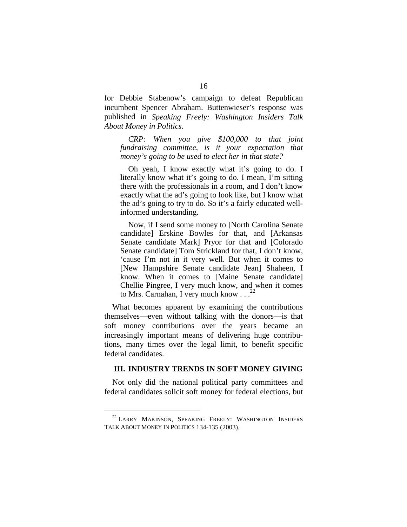for Debbie Stabenow's campaign to defeat Republican incumbent Spencer Abraham. Buttenwieser's response was published in *Speaking Freely: Washington Insiders Talk About Money in Politics*.

*CRP: When you give \$100,000 to that joint fundraising committee, is it your expectation that money's going to be used to elect her in that state?* 

Oh yeah, I know exactly what it's going to do. I literally know what it's going to do. I mean, I'm sitting there with the professionals in a room, and I don't know exactly what the ad's going to look like, but I know what the ad's going to try to do. So it's a fairly educated wellinformed understanding.

Now, if I send some money to [North Carolina Senate candidate] Erskine Bowles for that, and [Arkansas Senate candidate Mark] Pryor for that and [Colorado Senate candidate] Tom Strickland for that, I don't know, 'cause I'm not in it very well. But when it comes to [New Hampshire Senate candidate Jean] Shaheen, I know. When it comes to [Maine Senate candidate] Chellie Pingree, I very much know, and when it comes to Mrs. Carnahan, I very much know  $\ldots$ <sup>22</sup>

What becomes apparent by examining the contributions themselves—even without talking with the donors—is that soft money contributions over the years became an increasingly important means of delivering huge contributions, many times over the legal limit, to benefit specific federal candidates.

#### **III. INDUSTRY TRENDS IN SOFT MONEY GIVING**

Not only did the national political party committees and federal candidates solicit soft money for federal elections, but

<sup>&</sup>lt;sup>22</sup> LARRY MAKINSON, SPEAKING FREELY: WASHINGTON INSIDERS TALK ABOUT MONEY IN POLITICS 134-135 (2003).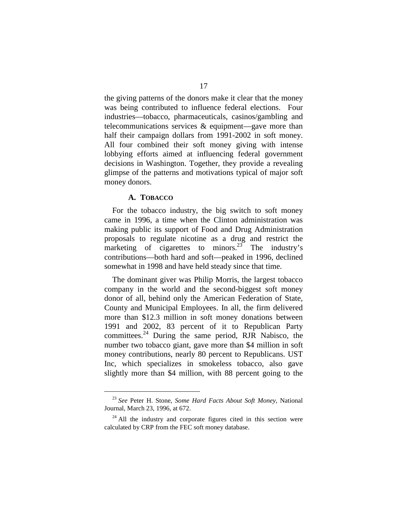the giving patterns of the donors make it clear that the money was being contributed to influence federal elections. Four industries—tobacco, pharmaceuticals, casinos/gambling and telecommunications services & equipment—gave more than half their campaign dollars from 1991-2002 in soft money. All four combined their soft money giving with intense lobbying efforts aimed at influencing federal government decisions in Washington. Together, they provide a revealing glimpse of the patterns and motivations typical of major soft money donors.

### **A. TOBACCO**

For the tobacco industry, the big switch to soft money came in 1996, a time when the Clinton administration was making public its support of Food and Drug Administration proposals to regulate nicotine as a drug and restrict the marketing of cigarettes to minors.<sup>23</sup> The industry's contributions—both hard and soft—peaked in 1996, declined somewhat in 1998 and have held steady since that time.

The dominant giver was Philip Morris, the largest tobacco company in the world and the second-biggest soft money donor of all, behind only the American Federation of State, County and Municipal Employees. In all, the firm delivered more than \$12.3 million in soft money donations between 1991 and 2002, 83 percent of it to Republican Party committees. 24 During the same period, RJR Nabisco, the number two tobacco giant, gave more than \$4 million in soft money contributions, nearly 80 percent to Republicans. UST Inc, which specializes in smokeless tobacco, also gave slightly more than \$4 million, with 88 percent going to the

<sup>23</sup>*See* Peter H. Stone, *Some Hard Facts About Soft Money*, National Journal, March 23, 1996, at 672.

 $24$  All the industry and corporate figures cited in this section were calculated by CRP from the FEC soft money database.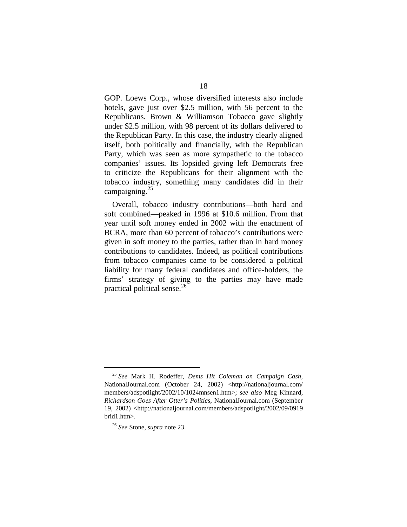GOP. Loews Corp., whose diversified interests also include hotels, gave just over \$2.5 million, with 56 percent to the Republicans. Brown & Williamson Tobacco gave slightly under \$2.5 million, with 98 percent of its dollars delivered to the Republican Party. In this case, the industry clearly aligned itself, both politically and financially, with the Republican Party, which was seen as more sympathetic to the tobacco companies' issues. Its lopsided giving left Democrats free to criticize the Republicans for their alignment with the tobacco industry, something many candidates did in their campaigning.<sup>25</sup>

Overall, tobacco industry contributions—both hard and soft combined—peaked in 1996 at \$10.6 million. From that year until soft money ended in 2002 with the enactment of BCRA, more than 60 percent of tobacco's contributions were given in soft money to the parties, rather than in hard money contributions to candidates. Indeed, as political contributions from tobacco companies came to be considered a political liability for many federal candidates and office-holders, the firms' strategy of giving to the parties may have made practical political sense. 26

<sup>25</sup>*See* Mark H. Rodeffer, *Dems Hit Coleman on Campaign Cash*, NationalJournal.com (October 24, 2002) <http://nationaljournal.com/ members/adspotlight/2002/10/1024mnsen1.htm>; *see also* Meg Kinnard, *Richardson Goes After Otter's Politics*, NationalJournal.com (September 19, 2002) <http://nationaljournal.com/members/adspotlight/2002/09/0919 brid1.htm>.

<sup>26</sup>*See* Stone, *supra* note 23.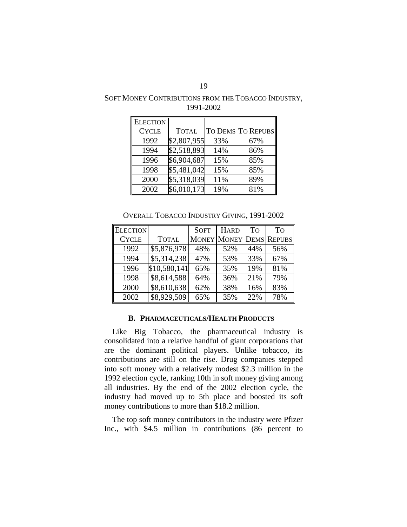| SOFT MONEY CONTRIBUTIONS FROM THE TOBACCO INDUSTRY, |
|-----------------------------------------------------|
| 1991-2002                                           |

| <b>ELECTION</b> |              |     |                   |
|-----------------|--------------|-----|-------------------|
| <b>CYCLE</b>    | <b>TOTAL</b> |     | TO DEMS TO REPUBS |
| 1992            | \$2,807,955  | 33% | 67%               |
| 1994            | \$2,518,893  | 14% | 86%               |
| 1996            | \$6,904,687  | 15% | 85%               |
| 1998            | \$5,481,042  | 15% | 85%               |
| 2000            | \$5,318,039  | 11% | 89%               |
| 2002            | \$6,010,173  | 19% | 81%               |

OVERALL TOBACCO INDUSTRY GIVING, 1991-2002

| <b>ELECTION</b> |              | <b>SOFT</b> | <b>HARD</b> | To  | To                      |
|-----------------|--------------|-------------|-------------|-----|-------------------------|
| <b>CYCLE</b>    | <b>TOTAL</b> |             |             |     | MONEY MONEY DEMS REPUBS |
| 1992            | \$5,876,978  | 48%         | 52%         | 44% | 56%                     |
| 1994            | \$5,314,238  | 47%         | 53%         | 33% | 67%                     |
| 1996            | \$10,580,141 | 65%         | 35%         | 19% | 81%                     |
| 1998            | \$8,614,588  | 64%         | 36%         | 21% | 79%                     |
| 2000            | \$8,610,638  | 62%         | 38%         | 16% | 83%                     |
| 2002            | \$8,929,509  | 65%         | 35%         | 22% | 78%                     |

#### **B. PHARMACEUTICALS/HEALTH PRODUCTS**

Like Big Tobacco, the pharmaceutical industry is consolidated into a relative handful of giant corporations that are the dominant political players. Unlike tobacco, its contributions are still on the rise. Drug companies stepped into soft money with a relatively modest \$2.3 million in the 1992 election cycle, ranking 10th in soft money giving among all industries. By the end of the 2002 election cycle, the industry had moved up to 5th place and boosted its soft money contributions to more than \$18.2 million.

The top soft money contributors in the industry were Pfizer Inc., with \$4.5 million in contributions (86 percent to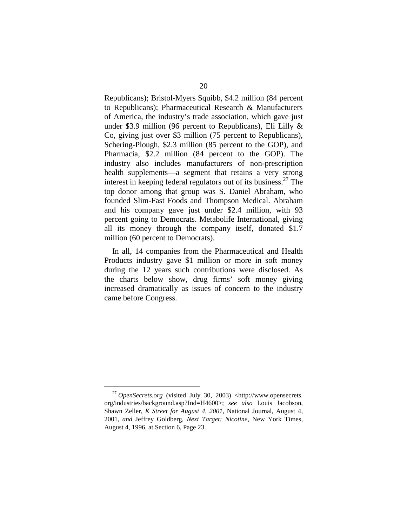Republicans); Bristol-Myers Squibb, \$4.2 million (84 percent to Republicans); Pharmaceutical Research & Manufacturers of America, the industry's trade association, which gave just under \$3.9 million (96 percent to Republicans), Eli Lilly & Co, giving just over \$3 million (75 percent to Republicans), Schering-Plough, \$2.3 million (85 percent to the GOP), and Pharmacia, \$2.2 million (84 percent to the GOP). The industry also includes manufacturers of non-prescription health supplements—a segment that retains a very strong interest in keeping federal regulators out of its business. $27$  The top donor among that group was S. Daniel Abraham, who founded Slim-Fast Foods and Thompson Medical. Abraham and his company gave just under \$2.4 million, with 93 percent going to Democrats. Metabolife International, giving all its money through the company itself, donated \$1.7 million (60 percent to Democrats).

In all, 14 companies from the Pharmaceutical and Health Products industry gave \$1 million or more in soft money during the 12 years such contributions were disclosed. As the charts below show, drug firms' soft money giving increased dramatically as issues of concern to the industry came before Congress.

<sup>27</sup>*OpenSecrets.org* (visited July 30, 2003) <http://www.opensecrets. org/industries/background.asp?Ind=H4600>; *see also* Louis Jacobson, Shawn Zeller, *K Street for August 4, 2001*, National Journal, August 4, 2001, *and* Jeffrey Goldberg, *Next Target: Nicotine*, New York Times, August 4, 1996, at Section 6, Page 23.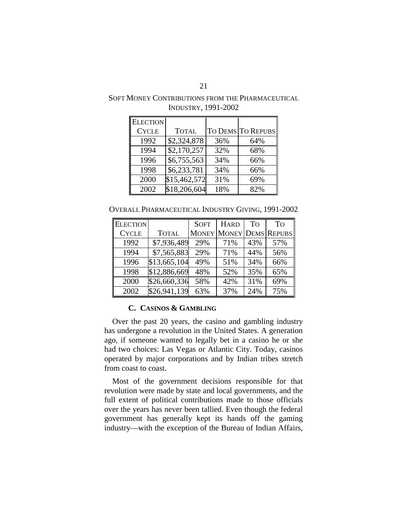## SOFT MONEY CONTRIBUTIONS FROM THE PHARMACEUTICAL INDUSTRY, 1991-2002

| <b>ELECTION</b> |              |     |                   |
|-----------------|--------------|-----|-------------------|
| <b>CYCLE</b>    | <b>TOTAL</b> |     | TO DEMS TO REPUBS |
| 1992            | \$2,324,878  | 36% | 64%               |
| 1994            | \$2,170,257  | 32% | 68%               |
| 1996            | \$6,755,563  | 34% | 66%               |
| 1998            | \$6,233,781  | 34% | 66%               |
| 2000            | \$15,462,572 | 31% | 69%               |
| 2002            | \$18,206,604 | 18% | 82%               |

OVERALL PHARMACEUTICAL INDUSTRY GIVING, 1991-2002

| <b>ELECTION</b> |              | <b>SOFT</b> | <b>HARD</b>                    | To  | To  |
|-----------------|--------------|-------------|--------------------------------|-----|-----|
| <b>CYCLE</b>    | <b>TOTAL</b> |             | <b>MONEY MONEY DEMS REPUBS</b> |     |     |
| 1992            | \$7,936,489  | 29%         | 71%                            | 43% | 57% |
| 1994            | \$7,565,883  | 29%         | 71%                            | 44% | 56% |
| 1996            | \$13,665,104 | 49%         | 51%                            | 34% | 66% |
| 1998            | \$12,886,669 | 48%         | 52%                            | 35% | 65% |
| 2000            | \$26,660,336 | 58%         | 42%                            | 31% | 69% |
| 2002            | \$26,941,139 | 63%         | 37%                            | 24% | 75% |

## **C. CASINOS & GAMBLING**

Over the past 20 years, the casino and gambling industry has undergone a revolution in the United States. A generation ago, if someone wanted to legally bet in a casino he or she had two choices: Las Vegas or Atlantic City. Today, casinos operated by major corporations and by Indian tribes stretch from coast to coast.

Most of the government decisions responsible for that revolution were made by state and local governments, and the full extent of political contributions made to those officials over the years has never been tallied. Even though the federal government has generally kept its hands off the gaming industry—with the exception of the Bureau of Indian Affairs,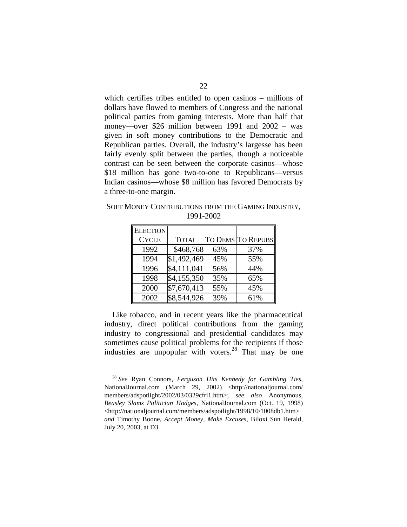which certifies tribes entitled to open casinos – millions of dollars have flowed to members of Congress and the national political parties from gaming interests. More than half that money—over \$26 million between 1991 and 2002 – was given in soft money contributions to the Democratic and Republican parties. Overall, the industry's largesse has been fairly evenly split between the parties, though a noticeable contrast can be seen between the corporate casinos—whose \$18 million has gone two-to-one to Republicans—versus Indian casinos—whose \$8 million has favored Democrats by a three-to-one margin.

SOFT MONEY CONTRIBUTIONS FROM THE GAMING INDUSTRY, 1991-2002

| <b>ELECTION</b> |              |     |                   |
|-----------------|--------------|-----|-------------------|
| <b>CYCLE</b>    | <b>TOTAL</b> |     | TO DEMS TO REPUBS |
| 1992            | \$468,768    | 63% | 37%               |
| 1994            | \$1,492,469  | 45% | 55%               |
| 1996            | \$4,111,041  | 56% | 44%               |
| 1998            | \$4,155,350  | 35% | 65%               |
| 2000            | \$7,670,413  | 55% | 45%               |
| 2002            | \$8,544,926  | 39% | 61%               |

Like tobacco, and in recent years like the pharmaceutical industry, direct political contributions from the gaming industry to congressional and presidential candidates may sometimes cause political problems for the recipients if those industries are unpopular with voters.<sup>28</sup> That may be one

<sup>28</sup>*See* Ryan Connors, *Ferguson Hits Kennedy for Gambling Ties*, NationalJournal.com (March 29, 2002) <http://nationaljournal.com/ members/adspotlight/2002/03/0329cfri1.htm>; *see also* Anonymous, *Beasley Slams Politician Hodges*, NationalJournal.com (Oct. 19, 1998) <http://nationaljournal.com/members/adspotlight/1998/10/1008db1.htm> *and* Timothy Boone, *Accept Money, Make Excuses*, Biloxi Sun Herald, July 20, 2003, at D3.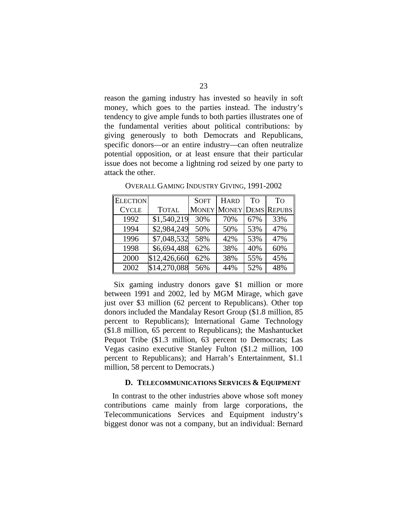reason the gaming industry has invested so heavily in soft money, which goes to the parties instead. The industry's tendency to give ample funds to both parties illustrates one of the fundamental verities about political contributions: by giving generously to both Democrats and Republicans, specific donors—or an entire industry—can often neutralize potential opposition, or at least ensure that their particular issue does not become a lightning rod seized by one party to attack the other.

| <b>ELECTION</b> |              | <b>SOFT</b> | <b>HARD</b> | To  | <b>To</b>               |
|-----------------|--------------|-------------|-------------|-----|-------------------------|
| <b>CYCLE</b>    | <b>TOTAL</b> |             |             |     | MONEY MONEY DEMS REPUBS |
| 1992            | \$1,540,219  | 30%         | 70%         | 67% | 33%                     |
| 1994            | \$2,984,249  | 50%         | 50%         | 53% | 47%                     |
| 1996            | \$7,048,532  | 58%         | 42%         | 53% | 47%                     |
| 1998            | \$6,694,488  | 62%         | 38%         | 40% | 60%                     |
| 2000            | \$12,426,660 | 62%         | 38%         | 55% | 45%                     |
| 2002            | \$14,270,088 | 56%         | 44%         | 52% | 48%                     |

OVERALL GAMING INDUSTRY GIVING, 1991-2002

Six gaming industry donors gave \$1 million or more between 1991 and 2002, led by MGM Mirage, which gave just over \$3 million (62 percent to Republicans). Other top donors included the Mandalay Resort Group (\$1.8 million, 85 percent to Republicans); International Game Technology (\$1.8 million, 65 percent to Republicans); the Mashantucket Pequot Tribe (\$1.3 million, 63 percent to Democrats; Las Vegas casino executive Stanley Fulton (\$1.2 million, 100 percent to Republicans); and Harrah's Entertainment, \$1.1 million, 58 percent to Democrats.)

#### **D. TELECOMMUNICATIONS SERVICES & EQUIPMENT**

In contrast to the other industries above whose soft money contributions came mainly from large corporations, the Telecommunications Services and Equipment industry's biggest donor was not a company, but an individual: Bernard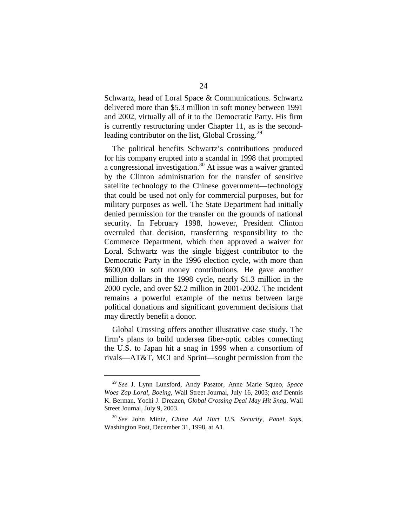Schwartz, head of Loral Space & Communications. Schwartz delivered more than \$5.3 million in soft money between 1991 and 2002, virtually all of it to the Democratic Party. His firm is currently restructuring under Chapter 11, as is the secondleading contributor on the list, Global Crossing.<sup>29</sup>

The political benefits Schwartz's contributions produced for his company erupted into a scandal in 1998 that prompted a congressional investigation.30 At issue was a waiver granted by the Clinton administration for the transfer of sensitive satellite technology to the Chinese government—technology that could be used not only for commercial purposes, but for military purposes as well. The State Department had initially denied permission for the transfer on the grounds of national security. In February 1998, however, President Clinton overruled that decision, transferring responsibility to the Commerce Department, which then approved a waiver for Loral. Schwartz was the single biggest contributor to the Democratic Party in the 1996 election cycle, with more than \$600,000 in soft money contributions. He gave another million dollars in the 1998 cycle, nearly \$1.3 million in the 2000 cycle, and over \$2.2 million in 2001-2002. The incident remains a powerful example of the nexus between large political donations and significant government decisions that may directly benefit a donor.

Global Crossing offers another illustrative case study. The firm's plans to build undersea fiber-optic cables connecting the U.S. to Japan hit a snag in 1999 when a consortium of rivals—AT&T, MCI and Sprint—sought permission from the

<sup>29</sup>*See* J. Lynn Lunsford, Andy Pasztor, Anne Marie Squeo, *Space Woes Zap Loral, Boeing*, Wall Street Journal, July 16, 2003; *and* Dennis K. Berman, Yochi J. Dreazen, *Global Crossing Deal May Hit Snag*, Wall Street Journal, July 9, 2003.

<sup>30</sup>*See* John Mintz, *China Aid Hurt U.S. Security, Panel Says*, Washington Post, December 31, 1998, at A1.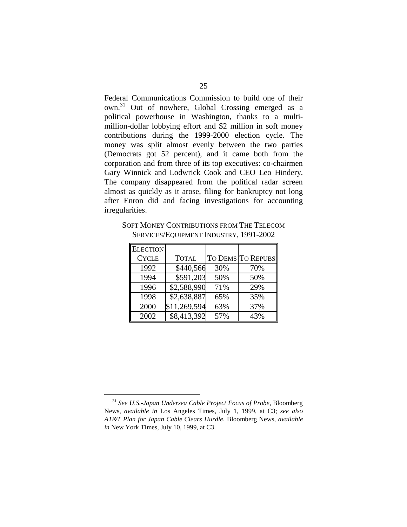Federal Communications Commission to build one of their own.31 Out of nowhere, Global Crossing emerged as a political powerhouse in Washington, thanks to a multimillion-dollar lobbying effort and \$2 million in soft money contributions during the 1999-2000 election cycle. The money was split almost evenly between the two parties (Democrats got 52 percent), and it came both from the corporation and from three of its top executives: co-chairmen Gary Winnick and Lodwrick Cook and CEO Leo Hindery. The company disappeared from the political radar screen almost as quickly as it arose, filing for bankruptcy not long after Enron did and facing investigations for accounting irregularities.

| <b>ELECTION</b> |              |     |                   |
|-----------------|--------------|-----|-------------------|
| <b>CYCLE</b>    | <b>TOTAL</b> |     | TO DEMS TO REPUBS |
| 1992            | \$440,566    | 30% | 70%               |
| 1994            | \$591,203    | 50% | 50%               |
| 1996            | \$2,588,990  | 71% | 29%               |
| 1998            | \$2,638,887  | 65% | 35%               |
| 2000            | \$11,269,594 | 63% | 37%               |
| 2002            | \$8,413,392  | 57% | 43%               |

SOFT MONEY CONTRIBUTIONS FROM THE TELECOM SERVICES/EQUIPMENT INDUSTRY, 1991-2002

<sup>31</sup>*See U.S.-Japan Undersea Cable Project Focus of Probe*, Bloomberg News, *available in* Los Angeles Times, July 1, 1999, at C3; *see also AT&T Plan for Japan Cable Clears Hurdle*, Bloomberg News, *available in* New York Times, July 10, 1999, at C3.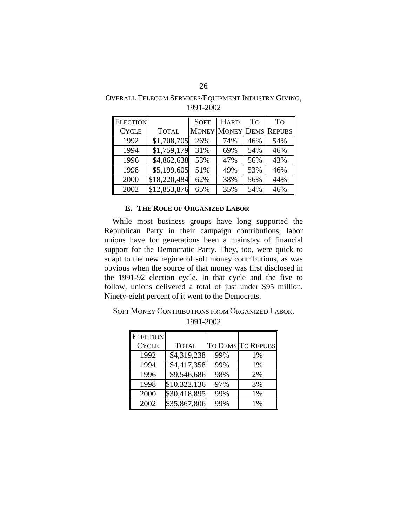| <b>ELECTION</b> |              | <b>SOFT</b> | <b>HARD</b> | To  | <b>TO</b>                      |
|-----------------|--------------|-------------|-------------|-----|--------------------------------|
| <b>CYCLE</b>    | <b>TOTAL</b> |             |             |     | <b>MONEY MONEY DEMS REPUBS</b> |
| 1992            | \$1,708,705  | 26%         | 74%         | 46% | 54%                            |
| 1994            | \$1,759,179  | 31%         | 69%         | 54% | 46%                            |
| 1996            | \$4,862,638  | 53%         | 47%         | 56% | 43%                            |
| 1998            | \$5,199,605  | 51%         | 49%         | 53% | 46%                            |
| 2000            | \$18,220,484 | 62%         | 38%         | 56% | 44%                            |
| 2002            | \$12,853,876 | 65%         | 35%         | 54% | 46%                            |

OVERALL TELECOM SERVICES/EQUIPMENT INDUSTRY GIVING, 1991-2002

### **E. THE ROLE OF ORGANIZED LABOR**

While most business groups have long supported the Republican Party in their campaign contributions, labor unions have for generations been a mainstay of financial support for the Democratic Party. They, too, were quick to adapt to the new regime of soft money contributions, as was obvious when the source of that money was first disclosed in the 1991-92 election cycle. In that cycle and the five to follow, unions delivered a total of just under \$95 million. Ninety-eight percent of it went to the Democrats.

| <b>ELECTION</b> |              |     |                   |
|-----------------|--------------|-----|-------------------|
| <b>CYCLE</b>    | <b>TOTAL</b> |     | TO DEMS TO REPUBS |
| 1992            | \$4,319,238  | 99% | 1%                |
| 1994            | \$4,417,358  | 99% | 1%                |
| 1996            | \$9,546,686  | 98% | 2%                |
| 1998            | \$10,322,136 | 97% | 3%                |
| 2000            | \$30,418,895 | 99% | 1%                |
| 2002            | \$35,867,806 | 99% | $1\%$             |

SOFT MONEY CONTRIBUTIONS FROM ORGANIZED LABOR, 1991-2002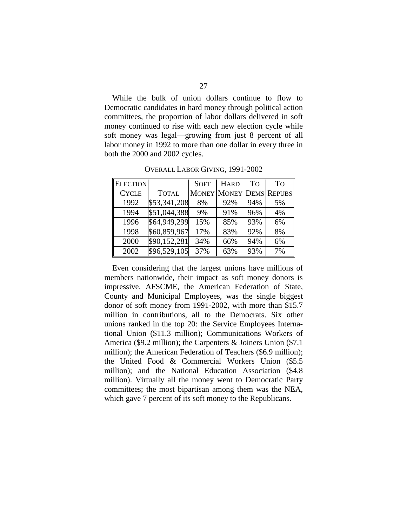While the bulk of union dollars continue to flow to Democratic candidates in hard money through political action committees, the proportion of labor dollars delivered in soft money continued to rise with each new election cycle while soft money was legal—growing from just 8 percent of all labor money in 1992 to more than one dollar in every three in both the 2000 and 2002 cycles.

| <b>ELECTION</b> |              | <b>SOFT</b> | <b>HARD</b>                    | To  | To |
|-----------------|--------------|-------------|--------------------------------|-----|----|
| <b>CYCLE</b>    | <b>TOTAL</b> |             | <b>MONEY MONEY DEMS REPUBS</b> |     |    |
| 1992            | \$53,341,208 | 8%          | 92%                            | 94% | 5% |
| 1994            | \$51,044,388 | 9%          | 91%                            | 96% | 4% |
| 1996            | \$64,949,299 | 15%         | 85%                            | 93% | 6% |
| 1998            | \$60,859,967 | 17%         | 83%                            | 92% | 8% |
| 2000            | \$90,152,281 | 34%         | 66%                            | 94% | 6% |
| 2002            | \$96,529,105 | 37%         | 63%                            | 93% | 7% |

OVERALL LABOR GIVING, 1991-2002

Even considering that the largest unions have millions of members nationwide, their impact as soft money donors is impressive. AFSCME, the American Federation of State, County and Municipal Employees, was the single biggest donor of soft money from 1991-2002, with more than \$15.7 million in contributions, all to the Democrats. Six other unions ranked in the top 20: the Service Employees International Union (\$11.3 million); Communications Workers of America (\$9.2 million); the Carpenters & Joiners Union (\$7.1 million); the American Federation of Teachers (\$6.9 million); the United Food & Commercial Workers Union (\$5.5 million); and the National Education Association (\$4.8 million). Virtually all the money went to Democratic Party committees; the most bipartisan among them was the NEA, which gave 7 percent of its soft money to the Republicans.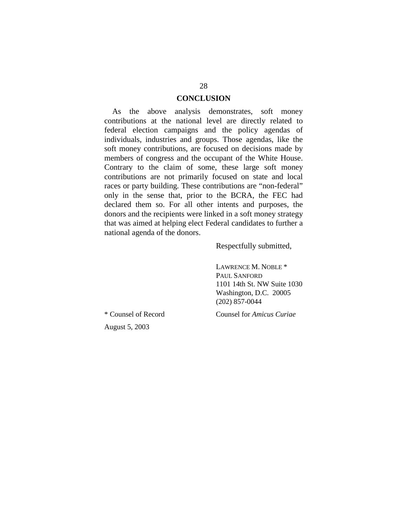### **CONCLUSION**

As the above analysis demonstrates, soft money contributions at the national level are directly related to federal election campaigns and the policy agendas of individuals, industries and groups. Those agendas, like the soft money contributions, are focused on decisions made by members of congress and the occupant of the White House. Contrary to the claim of some, these large soft money contributions are not primarily focused on state and local races or party building. These contributions are "non-federal" only in the sense that, prior to the BCRA, the FEC had declared them so. For all other intents and purposes, the donors and the recipients were linked in a soft money strategy that was aimed at helping elect Federal candidates to further a national agenda of the donors.

Respectfully submitted,

LAWRENCE M. NOBLE \* PAUL SANFORD 1101 14th St. NW Suite 1030 Washington, D.C. 20005 (202) 857-0044

\* Counsel of Record Counsel for *Amicus Curiae* 

August 5, 2003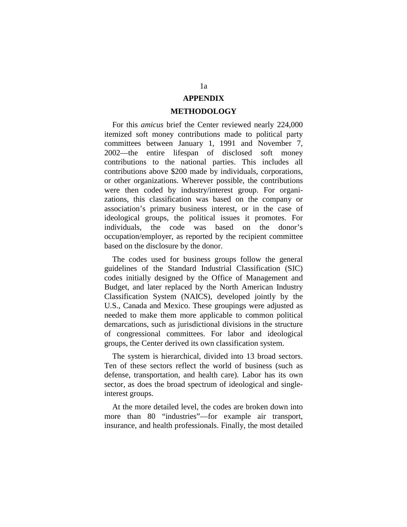## **APPENDIX**

#### **METHODOLOGY**

For this *amicus* brief the Center reviewed nearly 224,000 itemized soft money contributions made to political party committees between January 1, 1991 and November 7, 2002—the entire lifespan of disclosed soft money contributions to the national parties. This includes all contributions above \$200 made by individuals, corporations, or other organizations. Wherever possible, the contributions were then coded by industry/interest group. For organizations, this classification was based on the company or association's primary business interest, or in the case of ideological groups, the political issues it promotes. For individuals, the code was based on the donor's occupation/employer, as reported by the recipient committee based on the disclosure by the donor.

The codes used for business groups follow the general guidelines of the Standard Industrial Classification (SIC) codes initially designed by the Office of Management and Budget, and later replaced by the North American Industry Classification System (NAICS), developed jointly by the U.S., Canada and Mexico. These groupings were adjusted as needed to make them more applicable to common political demarcations, such as jurisdictional divisions in the structure of congressional committees. For labor and ideological groups, the Center derived its own classification system.

The system is hierarchical, divided into 13 broad sectors. Ten of these sectors reflect the world of business (such as defense, transportation, and health care). Labor has its own sector, as does the broad spectrum of ideological and singleinterest groups.

At the more detailed level, the codes are broken down into more than 80 "industries"—for example air transport, insurance, and health professionals. Finally, the most detailed